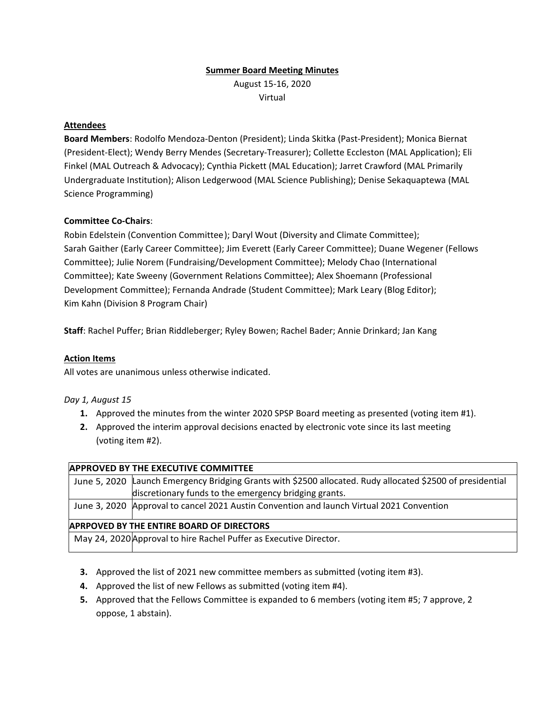## **Summer Board Meeting Minutes**

August 15-16, 2020 Virtual

### **Attendees**

**Board Members**: Rodolfo Mendoza-Denton (President); Linda Skitka (Past-President); Monica Biernat (President-Elect); Wendy Berry Mendes (Secretary-Treasurer); Collette Eccleston (MAL Application); Eli Finkel (MAL Outreach & Advocacy); Cynthia Pickett (MAL Education); Jarret Crawford (MAL Primarily Undergraduate Institution); Alison Ledgerwood (MAL Science Publishing); Denise Sekaquaptewa (MAL Science Programming)

### **Committee Co-Chairs**:

Robin Edelstein (Convention Committee); Daryl Wout (Diversity and Climate Committee); Sarah Gaither (Early Career Committee); Jim Everett (Early Career Committee); Duane Wegener (Fellows Committee); Julie Norem (Fundraising/Development Committee); Melody Chao (International Committee); Kate Sweeny (Government Relations Committee); Alex Shoemann (Professional Development Committee); Fernanda Andrade (Student Committee); Mark Leary (Blog Editor); Kim Kahn (Division 8 Program Chair)

**Staff**: Rachel Puffer; Brian Riddleberger; Ryley Bowen; Rachel Bader; Annie Drinkard; Jan Kang

#### **Action Items**

All votes are unanimous unless otherwise indicated.

#### *Day 1, August 15*

- **1.** Approved the minutes from the winter 2020 SPSP Board meeting as presented (voting item #1).
- **2.** Approved the interim approval decisions enacted by electronic vote since its last meeting (voting item #2).

| <b>APPROVED BY THE EXECUTIVE COMMITTEE</b>                         |                                                                                                            |
|--------------------------------------------------------------------|------------------------------------------------------------------------------------------------------------|
|                                                                    | June 5, 2020 Launch Emergency Bridging Grants with \$2500 allocated. Rudy allocated \$2500 of presidential |
|                                                                    | discretionary funds to the emergency bridging grants.                                                      |
|                                                                    | June 3, 2020 Approval to cancel 2021 Austin Convention and launch Virtual 2021 Convention                  |
| <b>APRPOVED BY THE ENTIRE BOARD OF DIRECTORS</b>                   |                                                                                                            |
| May 24, 2020 Approval to hire Rachel Puffer as Executive Director. |                                                                                                            |

- **3.** Approved the list of 2021 new committee members as submitted (voting item #3).
- **4.** Approved the list of new Fellows as submitted (voting item #4).
- **5.** Approved that the Fellows Committee is expanded to 6 members (voting item #5; 7 approve, 2 oppose, 1 abstain).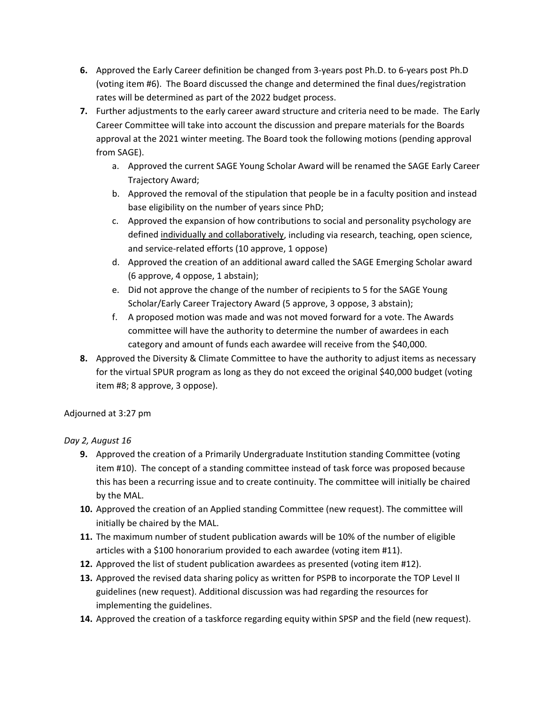- **6.** Approved the Early Career definition be changed from 3-years post Ph.D. to 6-years post Ph.D (voting item #6). The Board discussed the change and determined the final dues/registration rates will be determined as part of the 2022 budget process.
- **7.** Further adjustments to the early career award structure and criteria need to be made. The Early Career Committee will take into account the discussion and prepare materials for the Boards approval at the 2021 winter meeting. The Board took the following motions (pending approval from SAGE).
	- a. Approved the current SAGE Young Scholar Award will be renamed the SAGE Early Career Trajectory Award;
	- b. Approved the removal of the stipulation that people be in a faculty position and instead base eligibility on the number of years since PhD;
	- c. Approved the expansion of how contributions to social and personality psychology are defined individually and collaboratively, including via research, teaching, open science, and service-related efforts (10 approve, 1 oppose)
	- d. Approved the creation of an additional award called the SAGE Emerging Scholar award (6 approve, 4 oppose, 1 abstain);
	- e. Did not approve the change of the number of recipients to 5 for the SAGE Young Scholar/Early Career Trajectory Award (5 approve, 3 oppose, 3 abstain);
	- f. A proposed motion was made and was not moved forward for a vote. The Awards committee will have the authority to determine the number of awardees in each category and amount of funds each awardee will receive from the \$40,000.
- **8.** Approved the Diversity & Climate Committee to have the authority to adjust items as necessary for the virtual SPUR program as long as they do not exceed the original \$40,000 budget (voting item #8; 8 approve, 3 oppose).

# Adjourned at 3:27 pm

# *Day 2, August 16*

- **9.** Approved the creation of a Primarily Undergraduate Institution standing Committee (voting item #10). The concept of a standing committee instead of task force was proposed because this has been a recurring issue and to create continuity. The committee will initially be chaired by the MAL.
- **10.** Approved the creation of an Applied standing Committee (new request). The committee will initially be chaired by the MAL.
- **11.** The maximum number of student publication awards will be 10% of the number of eligible articles with a \$100 honorarium provided to each awardee (voting item #11).
- **12.** Approved the list of student publication awardees as presented (voting item #12).
- **13.** Approved the revised data sharing policy as written for PSPB to incorporate the TOP Level II guidelines (new request). Additional discussion was had regarding the resources for implementing the guidelines.
- **14.** Approved the creation of a taskforce regarding equity within SPSP and the field (new request).